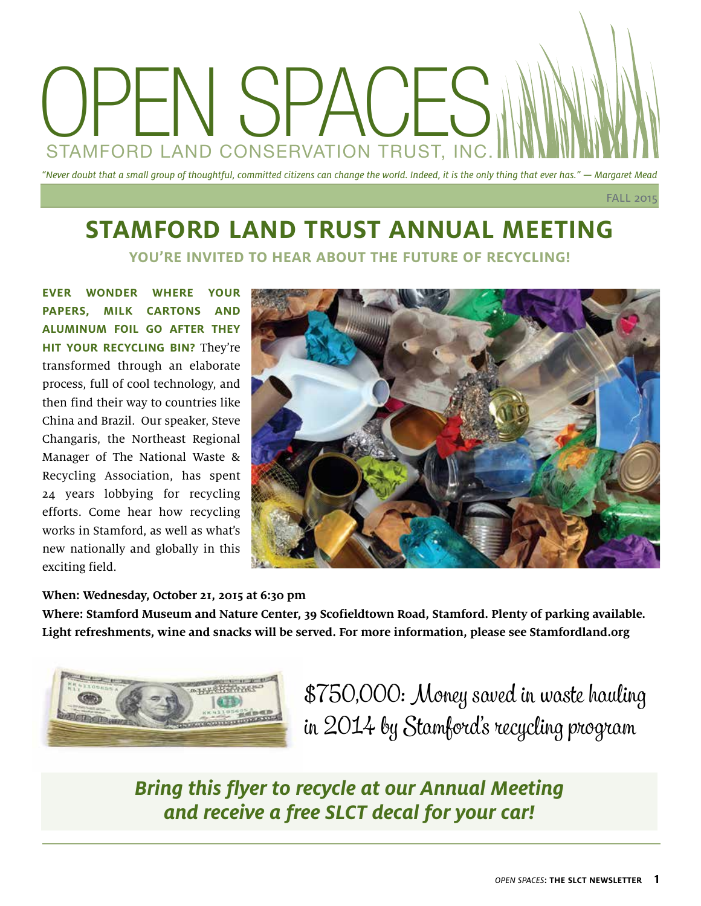# "Never doubt that a small group of thoughtful, committed citizens can change the world. Indeed, it is the only thing that ever has." — Margaret Mead OPEN SPACES STAMFORD LAND CONSERVATION TRUST, INC.

FALL 2015

### **STAMFORD LAND TRUST ANNUAL MEETING YOU'RE INVITED TO HEAR ABOUT THE FUTURE OF RECYCLING!**

**EVER WONDER WHERE YOUR PAPERS, MILK CARTONS AND ALUMINUM FOIL GO AFTER THEY HIT YOUR RECYCLING BIN?** They're transformed through an elaborate process, full of cool technology, and then find their way to countries like China and Brazil. Our speaker, Steve Changaris, the Northeast Regional Manager of The National Waste & Recycling Association, has spent 24 years lobbying for recycling efforts. Come hear how recycling works in Stamford, as well as what's new nationally and globally in this exciting field.



#### **When: Wednesday, October 21, 2015 at 6:30 pm**

**Where: Stamford Museum and Nature Center, 39 Scofieldtown Road, Stamford. Plenty of parking available. Light refreshments, wine and snacks will be served. For more information, please see Stamfordland.org**



\$750,000: Money saved in waste hauling in 2014 by Stamford's recycling program

### **Bring this flyer to recycle at our Annual Meeting and receive a free SLCT decal for your car!**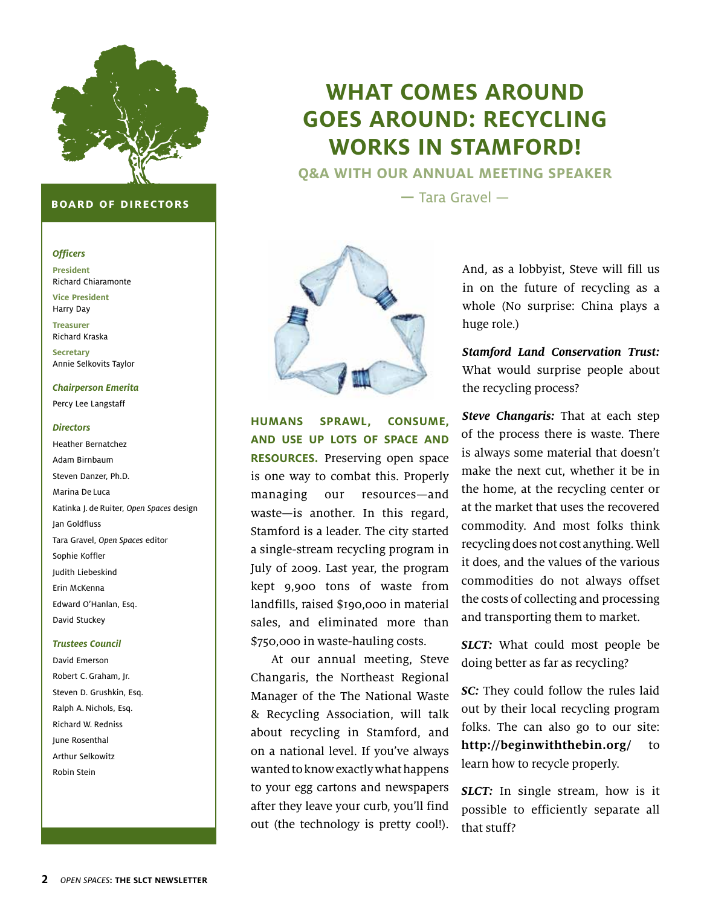

#### **board of directors**

#### **Officers**

**President** Richard Chiaramonte

**Vice President** Harry Day

**Treasurer**  Richard Kraska

**Secretary** Annie Selkovits Taylor

#### **Chairperson Emerita**

Percy Lee Langstaff

#### **Directors**

Heather Bernatchez Adam Birnbaum Steven Danzer, Ph.D. Marina De Luca Katinka J. de Ruiter, Open Spaces design Jan Goldfluss Tara Gravel, Open Spaces editor Sophie Koffler Judith Liebeskind Erin McKenna Edward O'Hanlan, Esq. David Stuckey

#### **Trustees Council**

David Emerson Robert C. Graham, Jr. Steven D. Grushkin, Esq. Ralph A. Nichols, Esq. Richard W. Redniss June Rosenthal Arthur Selkowitz Robin Stein

### **WHAT COMES AROUND GOES AROUND: RECYCLING WORKS IN STAMFORD!**

**Q&A WITH OUR ANNUAL MEETING SPEAKER**

**—** Tara Gravel —



**HUMANS SPRAWL, CONSUME, AND USE UP LOTS OF SPACE AND RESOURCES.** Preserving open space is one way to combat this. Properly managing our resources—and waste—is another. In this regard, Stamford is a leader. The city started a single-stream recycling program in July of 2009. Last year, the program kept 9,900 tons of waste from landfills, raised \$190,000 in material sales, and eliminated more than \$750,000 in waste-hauling costs.

At our annual meeting, Steve Changaris, the Northeast Regional Manager of the The National Waste & Recycling Association, will talk about recycling in Stamford, and on a national level. If you've always wanted to know exactly what happens to your egg cartons and newspapers after they leave your curb, you'll find out (the technology is pretty cool!). And, as a lobbyist, Steve will fill us in on the future of recycling as a whole (No surprise: China plays a huge role.)

**Stamford Land Conservation Trust:** What would surprise people about the recycling process?

**Steve Changaris:** That at each step of the process there is waste. There is always some material that doesn't make the next cut, whether it be in the home, at the recycling center or at the market that uses the recovered commodity. And most folks think recycling does not cost anything. Well it does, and the values of the various commodities do not always offset the costs of collecting and processing and transporting them to market.

**SLCT:** What could most people be doing better as far as recycling?

**SC:** They could follow the rules laid out by their local recycling program folks. The can also go to our site: **http://beginwiththebin.org/** to learn how to recycle properly.

**SLCT:** In single stream, how is it possible to efficiently separate all that stuff?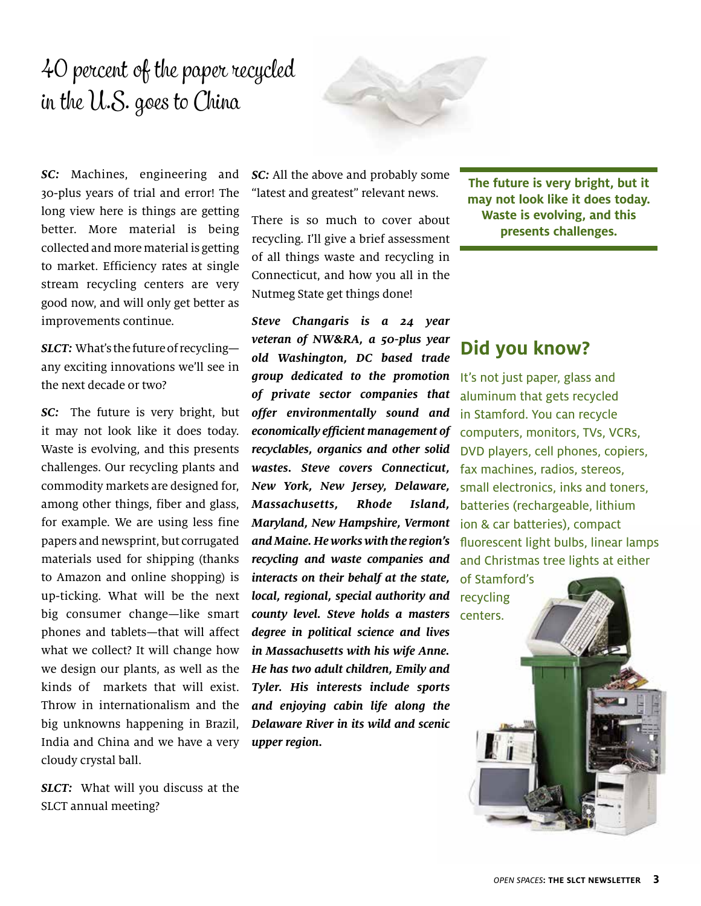# 40 percent of the paper recycled in the U.S. goes to China



**SC:** Machines, engineering and 30-plus years of trial and error! The long view here is things are getting better. More material is being collected and more material is getting to market. Efficiency rates at single stream recycling centers are very good now, and will only get better as improvements continue.

**SLCT:** What's the future of recycling any exciting innovations we'll see in the next decade or two?

**SC:** The future is very bright, but it may not look like it does today. Waste is evolving, and this presents challenges. Our recycling plants and commodity markets are designed for, among other things, fiber and glass, for example. We are using less fine papers and newsprint, but corrugated materials used for shipping (thanks to Amazon and online shopping) is up-ticking. What will be the next big consumer change—like smart phones and tablets—that will affect what we collect? It will change how we design our plants, as well as the kinds of markets that will exist. Throw in internationalism and the big unknowns happening in Brazil, India and China and we have a very cloudy crystal ball.

**SLCT:** What will you discuss at the SLCT annual meeting?

**SC:** All the above and probably some "latest and greatest" relevant news.

There is so much to cover about recycling. I'll give a brief assessment of all things waste and recycling in Connecticut, and how you all in the Nutmeg State get things done!

**Steve Changaris is a 24 year veteran of NW&RA, a 50-plus year old Washington, DC based trade group dedicated to the promotion**  It's not just paper, glass and **of private sector companies that offer environmentally sound and economically efficient management of recyclables, organics and other solid wastes. Steve covers Connecticut, New York, New Jersey, Delaware, Massachusetts, Rhode Island, Maryland, New Hampshire, Vermont and Maine. He works with the region's recycling and waste companies and interacts on their behalf at the state, local, regional, special authority and**  recycling **county level. Steve holds a masters**  centers. **degree in political science and lives in Massachusetts with his wife Anne. He has two adult children, Emily and Tyler. His interests include sports and enjoying cabin life along the Delaware River in its wild and scenic upper region.**

**The future is very bright, but it may not look like it does today. Waste is evolving, and this presents challenges.** 

### **Did you know?**

aluminum that gets recycled in Stamford. You can recycle computers, monitors, TVs, VCRs, DVD players, cell phones, copiers, fax machines, radios, stereos, small electronics, inks and toners, batteries (rechargeable, lithium ion & car batteries), compact fluorescent light bulbs, linear lamps and Christmas tree lights at either

of Stamford's

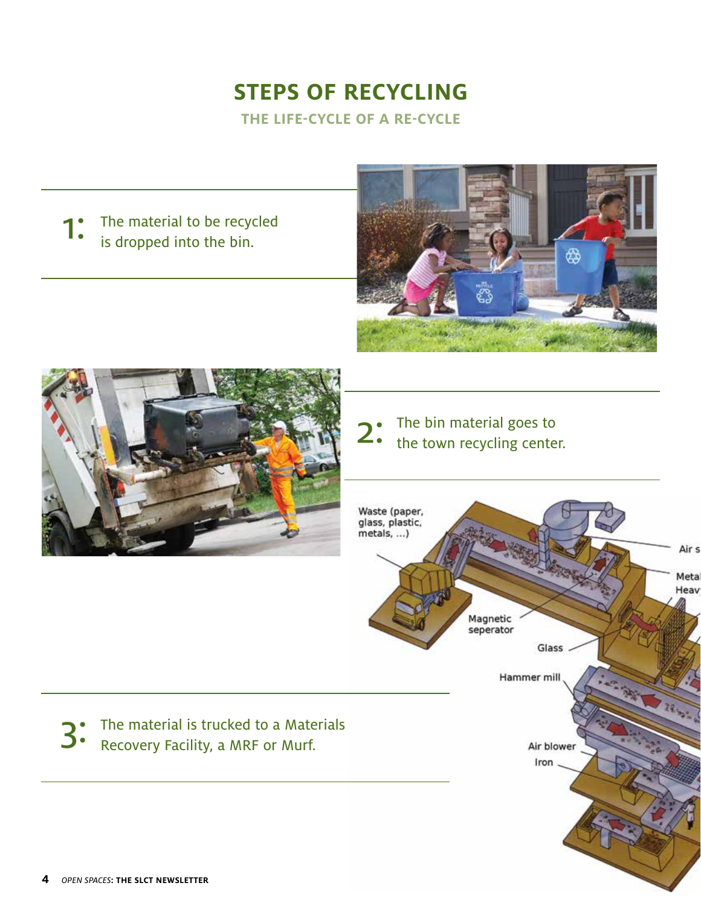### **STEPS OF RECYCLING THE LIFE-CYCLE OF A RE-CYCLE**

The material to be recycled **1:** The material to be recycres is dropped into the bin.





The bin material goes to<br>the town recycling center.



3<sup>.</sup> The material is trucked to a Materials<br>3. Recovery Facility, a MRF or Murf.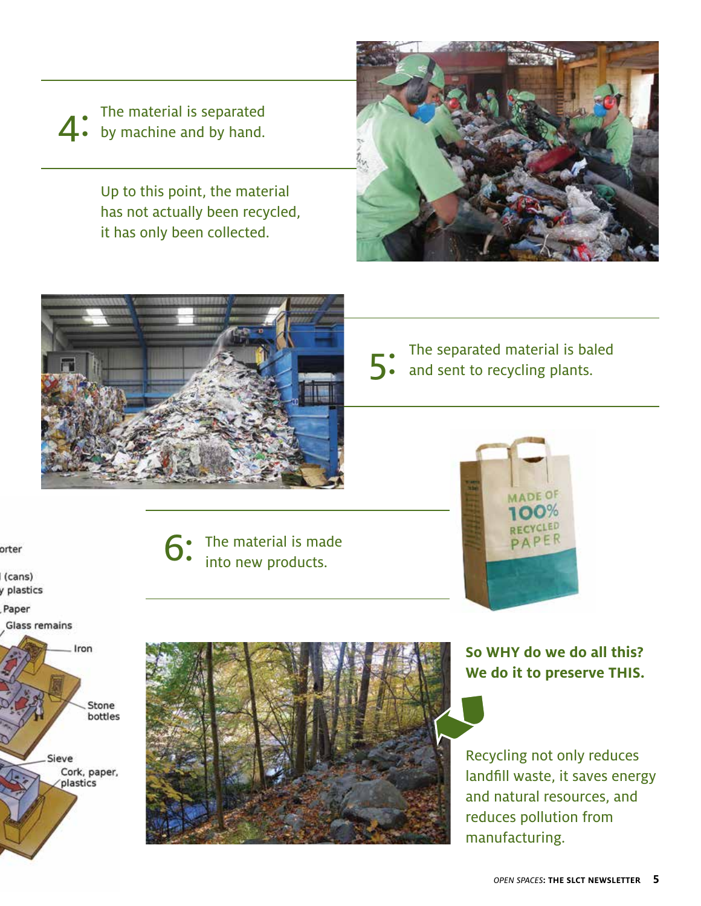The material is separated<br>by machine and by hand.

Up to this point, the material has not actually been recycled, it has only been collected.





The separated material is baled<br>and sent to recycling plants.

orter

(cans) y plastics

Paper

Glass remains



The material is made into new products.



**So WHY do we do all this? We do it to preserve THIS.**

Recycling not only reduces landfill waste, it saves energy and natural resources, and reduces pollution from manufacturing.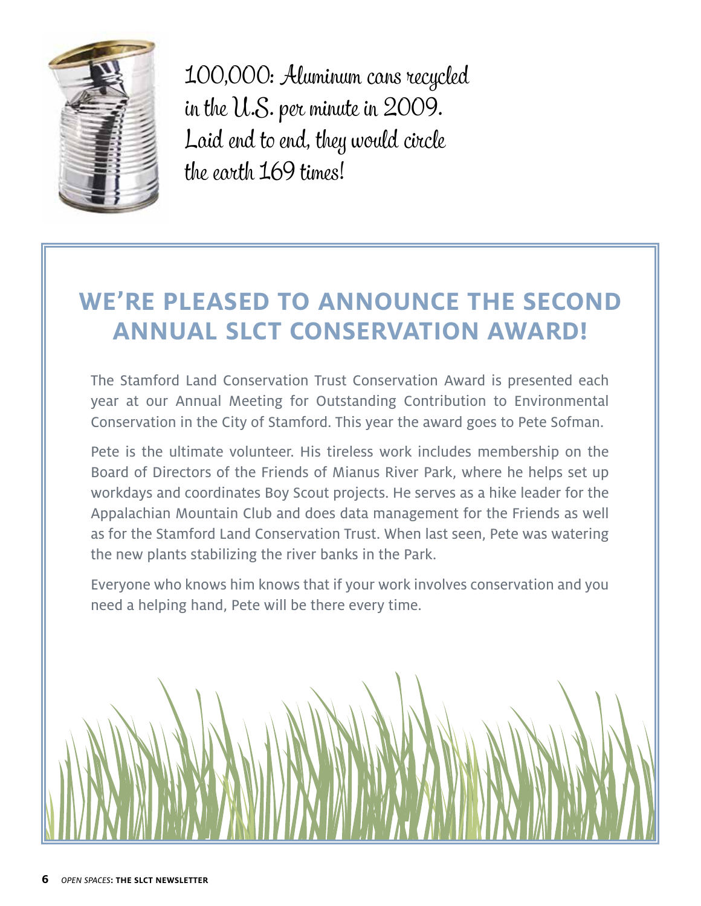

100,000: Aluminum cans recycled in the U.S. per minute in 2009. Laid end to end, they would circle the earth 169 times!

## **WE'RE PLEASED TO ANNOUNCE THE SECOND ANNUAL SLCT CONSERVATION AWARD!**

The Stamford Land Conservation Trust Conservation Award is presented each year at our Annual Meeting for Outstanding Contribution to Environmental Conservation in the City of Stamford. This year the award goes to Pete Sofman.

Pete is the ultimate volunteer. His tireless work includes membership on the Board of Directors of the Friends of Mianus River Park, where he helps set up workdays and coordinates Boy Scout projects. He serves as a hike leader for the Appalachian Mountain Club and does data management for the Friends as well as for the Stamford Land Conservation Trust. When last seen, Pete was watering the new plants stabilizing the river banks in the Park.

Everyone who knows him knows that if your work involves conservation and you need a helping hand, Pete will be there every time.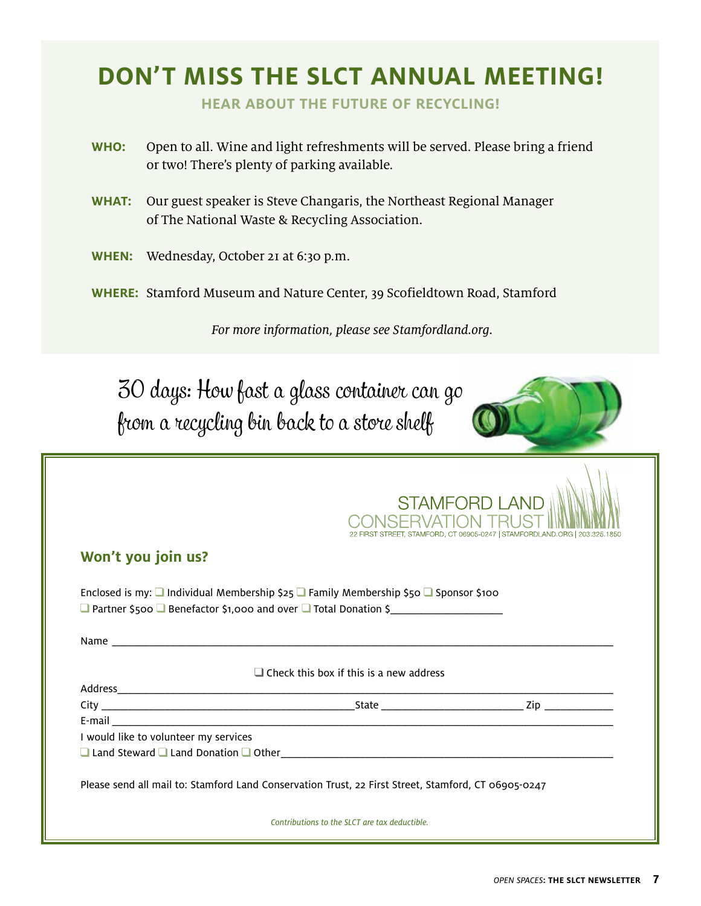# **DON'T MISS THE SLCT ANNUAL MEETING!**

**HEAR ABOUT THE FUTURE OF RECYCLING!**

- **WHO:** Open to all. Wine and light refreshments will be served. Please bring a friend or two! There's plenty of parking available.
- **WHAT:** Our guest speaker is Steve Changaris, the Northeast Regional Manager of The National Waste & Recycling Association.
- **WHEN:** Wednesday, October 21 at 6:30 p.m.
- **WHERE:** Stamford Museum and Nature Center, 39 Scofieldtown Road, Stamford

For more information, please see Stamfordland.org.

30 days: How fast a glass container can go from a recycling bin back to a store shelf

|                                       |                                                                                                                    | <b>STAMFORD LAND</b><br>22 FIRST STREET, STAMFORD, CT 06905-0247   STAMFORDLAND ORG   203.325.1850 |
|---------------------------------------|--------------------------------------------------------------------------------------------------------------------|----------------------------------------------------------------------------------------------------|
| Won't you join us?                    |                                                                                                                    |                                                                                                    |
|                                       | Enclosed is my: $\Box$ Individual Membership $\xi_{25} \Box$ Family Membership $\xi_{50} \Box$ Sponsor $\xi_{100}$ |                                                                                                    |
|                                       |                                                                                                                    |                                                                                                    |
|                                       |                                                                                                                    |                                                                                                    |
|                                       | $\Box$ Check this box if this is a new address                                                                     |                                                                                                    |
|                                       |                                                                                                                    |                                                                                                    |
|                                       |                                                                                                                    |                                                                                                    |
|                                       |                                                                                                                    |                                                                                                    |
|                                       |                                                                                                                    |                                                                                                    |
| I would like to volunteer my services | $\Box$ Land Steward $\Box$ Land Donation $\Box$ Other $\Box$                                                       |                                                                                                    |